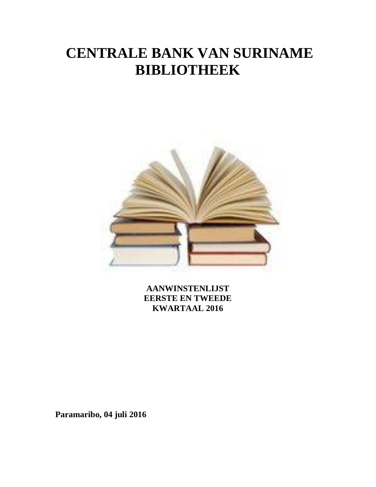# **CENTRALE BANK VAN SURINAME BIBLIOTHEEK**



**AANWINSTENLIJST EERSTE EN TWEEDE KWARTAAL 2016**

**Paramaribo, 04 juli 2016**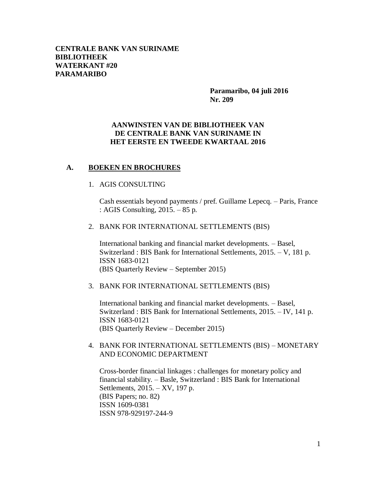**Paramaribo, 04 juli 2016 Nr. 209**

# **AANWINSTEN VAN DE BIBLIOTHEEK VAN DE CENTRALE BANK VAN SURINAME IN HET EERSTE EN TWEEDE KWARTAAL 2016**

# **A. BOEKEN EN BROCHURES**

# 1. AGIS CONSULTING

Cash essentials beyond payments / pref. Guillame Lepecq. – Paris, France : AGIS Consulting, 2015. – 85 p.

2. BANK FOR INTERNATIONAL SETTLEMENTS (BIS)

International banking and financial market developments. – Basel, Switzerland : BIS Bank for International Settlements, 2015. – V, 181 p. ISSN 1683-0121 (BIS Quarterly Review – September 2015)

3. BANK FOR INTERNATIONAL SETTLEMENTS (BIS)

International banking and financial market developments. – Basel, Switzerland : BIS Bank for International Settlements, 2015. – IV, 141 p. ISSN 1683-0121 (BIS Quarterly Review – December 2015)

4. BANK FOR INTERNATIONAL SETTLEMENTS (BIS) – MONETARY AND ECONOMIC DEPARTMENT

Cross-border financial linkages : challenges for monetary policy and financial stability. – Basle, Switzerland : BIS Bank for International Settlements, 2015. – XV, 197 p. (BIS Papers; no. 82) ISSN 1609-0381 ISSN 978-929197-244-9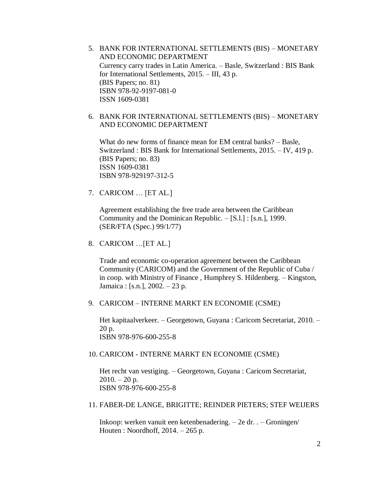- 5. BANK FOR INTERNATIONAL SETTLEMENTS (BIS) MONETARY AND ECONOMIC DEPARTMENT Currency carry trades in Latin America. – Basle, Switzerland : BIS Bank for International Settlements, 2015. – III, 43 p. (BIS Papers; no. 81) ISBN 978-92-9197-081-0 ISSN 1609-0381
- 6. BANK FOR INTERNATIONAL SETTLEMENTS (BIS) MONETARY AND ECONOMIC DEPARTMENT

What do new forms of finance mean for EM central banks? – Basle, Switzerland : BIS Bank for International Settlements, 2015. – IV, 419 p. (BIS Papers; no. 83) ISSN 1609-0381 ISBN 978-929197-312-5

7. CARICOM … [ET AL.]

Agreement establishing the free trade area between the Caribbean Community and the Dominican Republic. – [S.l.] : [s.n.], 1999. (SER/FTA (Spec.) 99/1/77)

8. CARICOM …[ET AL.]

Trade and economic co-operation agreement between the Caribbean Community (CARICOM) and the Government of the Republic of Cuba / in coop. with Ministry of Finance , Humphrey S. Hildenberg. – Kingston, Jamaica : [s.n.], 2002. – 23 p.

#### 9. CARICOM – INTERNE MARKT EN ECONOMIE (CSME)

Het kapitaalverkeer. – Georgetown, Guyana : Caricom Secretariat, 2010. – 20 p. ISBN 978-976-600-255-8

#### 10. CARICOM - INTERNE MARKT EN ECONOMIE (CSME)

Het recht van vestiging. – Georgetown, Guyana : Caricom Secretariat,  $2010. - 20$  p. ISBN 978-976-600-255-8

#### 11. FABER-DE LANGE, BRIGITTE; REINDER PIETERS; STEF WEIJERS

Inkoop: werken vanuit een ketenbenadering. – 2e dr. . – Groningen/ Houten : Noordhoff, 2014. – 265 p.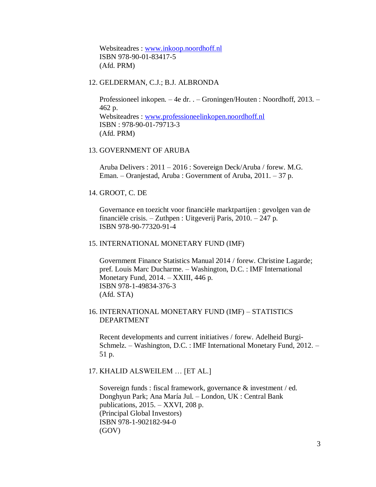Websiteadres : [www.inkoop.noordhoff.nl](http://www.inkoop.noordhoff.nl/) ISBN 978-90-01-83417-5 (Afd. PRM)

# 12. GELDERMAN, C.J.; B.J. ALBRONDA

Professioneel inkopen. – 4e dr. . – Groningen/Houten : Noordhoff, 2013. – 462 p. Websiteadres : [www.professioneelinkopen.noordhoff.nl](http://www.professioneelinkopen.noordhoff.nl/) ISBN : 978-90-01-79713-3 (Afd. PRM)

## 13. GOVERNMENT OF ARUBA

Aruba Delivers : 2011 – 2016 : Sovereign Deck/Aruba / forew. M.G. Eman. – Oranjestad, Aruba : Government of Aruba, 2011. – 37 p.

#### 14. GROOT, C. DE

Governance en toezicht voor financiële marktpartijen : gevolgen van de financiële crisis. – Zuthpen : Uitgeverij Paris, 2010. – 247 p. ISBN 978-90-77320-91-4

#### 15. INTERNATIONAL MONETARY FUND (IMF)

Government Finance Statistics Manual 2014 / forew. Christine Lagarde; pref. Louis Marc Ducharme. – Washington, D.C. : IMF International Monetary Fund, 2014. – XXIII, 446 p. ISBN 978-1-49834-376-3 (Afd. STA)

# 16. INTERNATIONAL MONETARY FUND (IMF) – STATISTICS DEPARTMENT

Recent developments and current initiatives / forew. Adelheid Burgi-Schmelz. – Washington, D.C. : IMF International Monetary Fund, 2012. – 51 p.

#### 17. KHALID ALSWEILEM … [ET AL.]

Sovereign funds : fiscal framework, governance & investment / ed. Donghyun Park; Ana María Jul. – London, UK : Central Bank publications, 2015. – XXVI, 208 p. (Principal Global Investors) ISBN 978-1-902182-94-0 (GOV)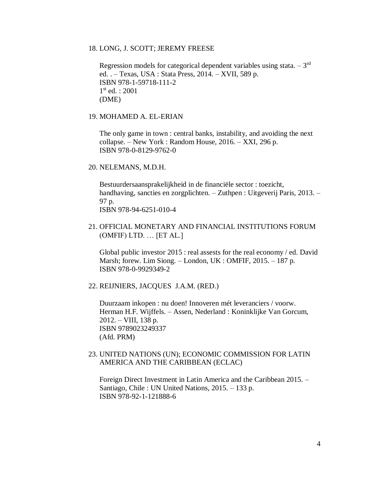#### 18. LONG, J. SCOTT; JEREMY FREESE

Regression models for categorical dependent variables using stata.  $-3<sup>rd</sup>$ ed. . – Texas, USA : Stata Press, 2014. – XVII, 589 p. ISBN 978-1-59718-111-2 1 st ed. : 2001 (DME)

# 19. MOHAMED A. EL-ERIAN

The only game in town : central banks, instability, and avoiding the next collapse. – New York : Random House, 2016. – XXI, 296 p. ISBN 978-0-8129-9762-0

#### 20. NELEMANS, M.D.H.

Bestuurdersaansprakelijkheid in de financiële sector : toezicht, handhaving, sancties en zorgplichten. – Zuthpen : Uitgeverij Paris, 2013. – 97 p. ISBN 978-94-6251-010-4

21. OFFICIAL MONETARY AND FINANCIAL INSTITUTIONS FORUM (OMFIF) LTD. … [ET AL.]

Global public investor 2015 : real assests for the real economy / ed. David Marsh; forew. Lim Siong. – London, UK : OMFIF, 2015. – 187 p. ISBN 978-0-9929349-2

22. REIJNIERS, JACQUES J.A.M. (RED.)

Duurzaam inkopen : nu doen! Innoveren mét leveranciers / voorw. Herman H.F. Wijffels. – Assen, Nederland : Koninklijke Van Gorcum, 2012. – VIII, 138 p. ISBN 9789023249337 (Afd. PRM)

# 23. UNITED NATIONS (UN); ECONOMIC COMMISSION FOR LATIN AMERICA AND THE CARIBBEAN (ECLAC)

Foreign Direct Investment in Latin America and the Caribbean 2015. – Santiago, Chile : UN United Nations, 2015. – 133 p. ISBN 978-92-1-121888-6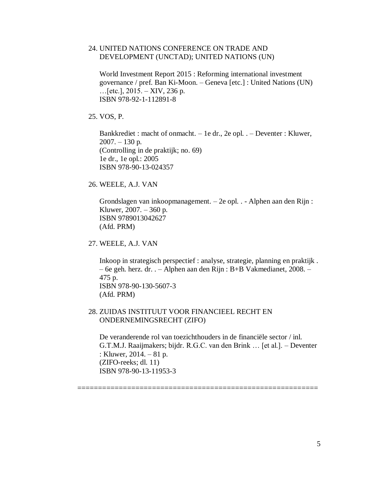# 24. UNITED NATIONS CONFERENCE ON TRADE AND DEVELOPMENT (UNCTAD); UNITED NATIONS (UN)

World Investment Report 2015 : Reforming international investment governance / pref. Ban Ki-Moon. – Geneva [etc.] : United Nations (UN)  $...$ [etc.], 2015. – XIV, 236 p. ISBN 978-92-1-112891-8

25. VOS, P.

Bankkrediet : macht of onmacht. – 1e dr., 2e opl. . – Deventer : Kluwer,  $2007. - 130$  p. (Controlling in de praktijk; no. 69) 1e dr., 1e opl.: 2005 ISBN 978-90-13-024357

26. WEELE, A.J. VAN

Grondslagen van inkoopmanagement. – 2e opl. . - Alphen aan den Rijn : Kluwer, 2007. – 360 p. ISBN 9789013042627 (Afd. PRM)

27. WEELE, A.J. VAN

Inkoop in strategisch perspectief : analyse, strategie, planning en praktijk . – 6e geh. herz. dr. . – Alphen aan den Rijn : B+B Vakmedianet, 2008. – 475 p. ISBN 978-90-130-5607-3 (Afd. PRM)

# 28. ZUIDAS INSTITUUT VOOR FINANCIEEL RECHT EN ONDERNEMINGSRECHT (ZIFO)

De veranderende rol van toezichthouders in de financiële sector / inl. G.T.M.J. Raaijmakers; bijdr. R.G.C. van den Brink … [et al.]. – Deventer : Kluwer, 2014. – 81 p. (ZIFO-reeks; dl. 11) ISBN 978-90-13-11953-3

==========================================================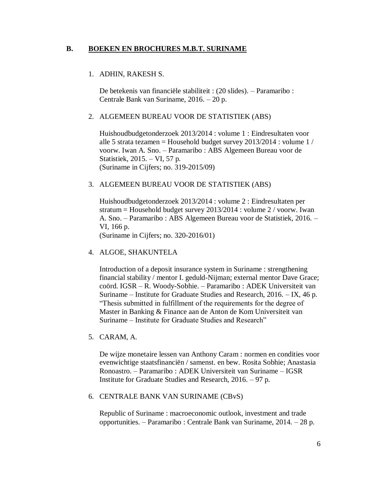# **B. BOEKEN EN BROCHURES M.B.T. SURINAME**

# 1. ADHIN, RAKESH S.

De betekenis van financiële stabiliteit : (20 slides). – Paramaribo : Centrale Bank van Suriname, 2016. – 20 p.

# 2. ALGEMEEN BUREAU VOOR DE STATISTIEK (ABS)

Huishoudbudgetonderzoek 2013/2014 : volume 1 : Eindresultaten voor alle 5 strata tezamen = Household budget survey 2013/2014 : volume 1 / voorw. Iwan A. Sno. – Paramaribo : ABS Algemeen Bureau voor de Statistiek, 2015. – VI, 57 p. (Suriname in Cijfers; no. 319-2015/09)

# 3. ALGEMEEN BUREAU VOOR DE STATISTIEK (ABS)

Huishoudbudgetonderzoek 2013/2014 : volume 2 : Eindresultaten per stratum = Household budget survey 2013/2014 : volume 2 / voorw. Iwan A. Sno. – Paramaribo : ABS Algemeen Bureau voor de Statistiek, 2016. – VI, 166 p.

(Suriname in Cijfers; no. 320-2016/01)

# 4. ALGOE, SHAKUNTELA

Introduction of a deposit insurance system in Suriname : strengthening financial stability / mentor I. geduld-Nijman; external mentor Dave Grace; coörd. IGSR – R. Woody-Sobhie. – Paramaribo : ADEK Universiteit van Suriname – Institute for Graduate Studies and Research, 2016. – IX, 46 p. "Thesis submitted in fulfillment of the requirements for the degree of Master in Banking & Finance aan de Anton de Kom Universiteit van Suriname – Institute for Graduate Studies and Research"

5. CARAM, A.

De wijze monetaire lessen van Anthony Caram : normen en condities voor evenwichtige staatsfinanciën / samenst. en bew. Rosita Sobhie; Anastasia Ronoastro. – Paramaribo : ADEK Universiteit van Suriname – IGSR Institute for Graduate Studies and Research, 2016. – 97 p.

# 6. CENTRALE BANK VAN SURINAME (CBvS)

Republic of Suriname : macroeconomic outlook, investment and trade opportunities. – Paramaribo : Centrale Bank van Suriname, 2014. – 28 p.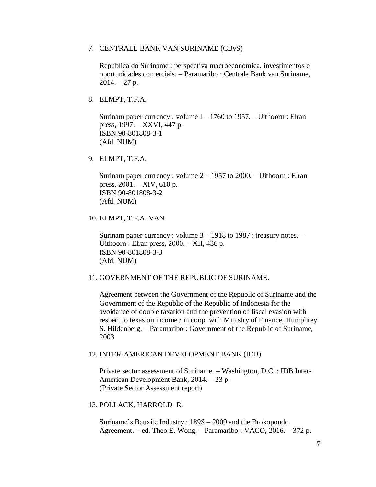#### 7. CENTRALE BANK VAN SURINAME (CBvS)

República do Suriname : perspectiva macroeconomica, investimentos e oportunidades comerciais. – Paramaribo : Centrale Bank van Suriname,  $2014. - 27$  p.

8. ELMPT, T.F.A.

Surinam paper currency : volume  $I - 1760$  to 1957. – Uithoorn : Elran press, 1997. – XXVI, 447 p. ISBN 90-801808-3-1 (Afd. NUM)

9. ELMPT, T.F.A.

Surinam paper currency : volume  $2 - 1957$  to  $2000$ . – Uithoorn : Elran press, 2001. – XIV, 610 p. ISBN 90-801808-3-2 (Afd. NUM)

10. ELMPT, T.F.A. VAN

Surinam paper currency : volume  $3 - 1918$  to 1987 : treasury notes.  $-$ Uithoorn : Elran press,  $2000. - XII$ , 436 p. ISBN 90-801808-3-3 (Afd. NUM)

# 11. GOVERNMENT OF THE REPUBLIC OF SURINAME.

Agreement between the Government of the Republic of Suriname and the Government of the Republic of the Republic of Indonesia for the avoidance of double taxation and the prevention of fiscal evasion with respect to texas on income / in coöp. with Ministry of Finance, Humphrey S. Hildenberg. – Paramaribo : Government of the Republic of Suriname, 2003.

#### 12. INTER-AMERICAN DEVELOPMENT BANK (IDB)

Private sector assessment of Suriname. – Washington, D.C. : IDB Inter-American Development Bank, 2014. – 23 p. (Private Sector Assessment report)

13. POLLACK, HARROLD R.

Suriname's Bauxite Industry : 1898 – 2009 and the Brokopondo Agreement. – ed. Theo E. Wong. – Paramaribo : VACO, 2016. – 372 p.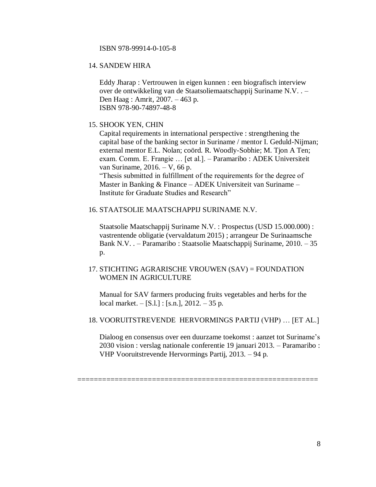#### ISBN 978-99914-0-105-8

# 14. SANDEW HIRA

Eddy Jharap : Vertrouwen in eigen kunnen : een biografisch interview over de ontwikkeling van de Staatsoliemaatschappij Suriname N.V. . – Den Haag : Amrit, 2007. – 463 p. ISBN 978-90-74897-48-8

#### 15. SHOOK YEN, CHIN

Capital requirements in international perspective : strengthening the capital base of the banking sector in Suriname / mentor I. Geduld-Nijman; external mentor E.L. Nolan; coörd. R. Woodly-Sobhie; M. Tjon A Ten; exam. Comm. E. Frangie … [et al.]. – Paramaribo : ADEK Universiteit van Suriname, 2016. – V, 66 p.

"Thesis submitted in fulfillment of the requirements for the degree of Master in Banking & Finance – ADEK Universiteit van Suriname – Institute for Graduate Studies and Research"

# 16. STAATSOLIE MAATSCHAPPIJ SURINAME N.V.

Staatsolie Maatschappij Suriname N.V. : Prospectus (USD 15.000.000) : vastrentende obligatie (vervaldatum 2015) ; arrangeur De Surinaamsche Bank N.V. . – Paramaribo : Staatsolie Maatschappij Suriname, 2010. – 35 p.

# 17. STICHTING AGRARISCHE VROUWEN (SAV) = FOUNDATION WOMEN IN AGRICULTURE

Manual for SAV farmers producing fruits vegetables and herbs for the local market. – [S.l.] : [s.n.], 2012. – 35 p.

#### 18. VOORUITSTREVENDE HERVORMINGS PARTIJ (VHP) … [ET AL.]

==========================================================

Dialoog en consensus over een duurzame toekomst : aanzet tot Suriname's 2030 vision : verslag nationale conferentie 19 januari 2013. – Paramaribo : VHP Vooruitstrevende Hervormings Partij, 2013. – 94 p.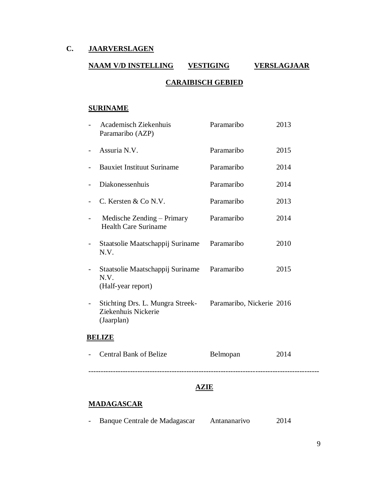# **C. JAARVERSLAGEN**

# **NAAM V/D INSTELLING VESTIGING VERSLAGJAAR CARAIBISCH GEBIED**

# **SURINAME**

|               | <b>Academisch Ziekenhuis</b><br>Paramaribo (AZP)                      | Paramaribo                | 2013 |  |
|---------------|-----------------------------------------------------------------------|---------------------------|------|--|
|               | Assuria N.V.                                                          | Paramaribo                | 2015 |  |
|               | <b>Bauxiet Instituut Suriname</b>                                     | Paramaribo                | 2014 |  |
|               | Diakonessenhuis                                                       | Paramaribo                | 2014 |  |
|               | C. Kersten & Co N.V.                                                  | Paramaribo                | 2013 |  |
|               | Medische Zending – Primary<br><b>Health Care Suriname</b>             | Paramaribo                | 2014 |  |
|               | Staatsolie Maatschappij Suriname<br>N.V.                              | Paramaribo                | 2010 |  |
|               | Staatsolie Maatschappij Suriname<br>N.V.<br>(Half-year report)        | Paramaribo                | 2015 |  |
|               | Stichting Drs. L. Mungra Streek-<br>Ziekenhuis Nickerie<br>(Jaarplan) | Paramaribo, Nickerie 2016 |      |  |
| <b>BELIZE</b> |                                                                       |                           |      |  |
|               | <b>Central Bank of Belize</b>                                         | Belmopan                  | 2014 |  |
|               |                                                                       |                           |      |  |

# **AZIE**

# **MADAGASCAR**

|  | Banque Centrale de Madagascar |  | Antananarivo | 2014 |
|--|-------------------------------|--|--------------|------|
|--|-------------------------------|--|--------------|------|